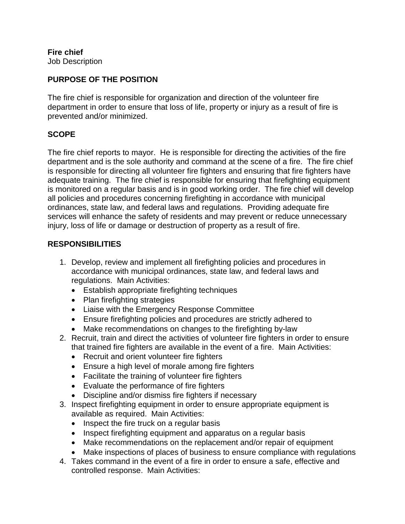**Fire chief** Job Description

## **PURPOSE OF THE POSITION**

The fire chief is responsible for organization and direction of the volunteer fire department in order to ensure that loss of life, property or injury as a result of fire is prevented and/or minimized.

## **SCOPE**

The fire chief reports to mayor. He is responsible for directing the activities of the fire department and is the sole authority and command at the scene of a fire. The fire chief is responsible for directing all volunteer fire fighters and ensuring that fire fighters have adequate training. The fire chief is responsible for ensuring that firefighting equipment is monitored on a regular basis and is in good working order. The fire chief will develop all policies and procedures concerning firefighting in accordance with municipal ordinances, state law, and federal laws and regulations. Providing adequate fire services will enhance the safety of residents and may prevent or reduce unnecessary injury, loss of life or damage or destruction of property as a result of fire.

### **RESPONSIBILITIES**

- 1. Develop, review and implement all firefighting policies and procedures in accordance with municipal ordinances, state law, and federal laws and regulations. Main Activities:
	- Establish appropriate firefighting techniques
	- Plan firefighting strategies
	- Liaise with the Emergency Response Committee
	- Ensure firefighting policies and procedures are strictly adhered to
	- Make recommendations on changes to the firefighting by-law
- 2. Recruit, train and direct the activities of volunteer fire fighters in order to ensure that trained fire fighters are available in the event of a fire. Main Activities:
	- Recruit and orient volunteer fire fighters
	- Ensure a high level of morale among fire fighters
	- Facilitate the training of volunteer fire fighters
	- Evaluate the performance of fire fighters
	- Discipline and/or dismiss fire fighters if necessary
- 3. Inspect firefighting equipment in order to ensure appropriate equipment is available as required. Main Activities:
	- Inspect the fire truck on a regular basis
	- Inspect firefighting equipment and apparatus on a regular basis
	- Make recommendations on the replacement and/or repair of equipment
	- Make inspections of places of business to ensure compliance with regulations
- 4. Takes command in the event of a fire in order to ensure a safe, effective and controlled response. Main Activities: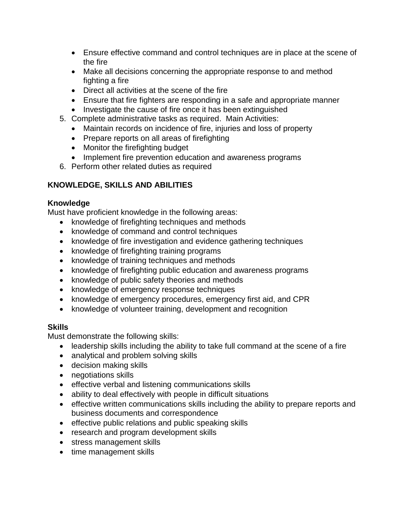- Ensure effective command and control techniques are in place at the scene of the fire
- Make all decisions concerning the appropriate response to and method fighting a fire
- Direct all activities at the scene of the fire
- Ensure that fire fighters are responding in a safe and appropriate manner
- Investigate the cause of fire once it has been extinguished
- 5. Complete administrative tasks as required. Main Activities:
	- Maintain records on incidence of fire, injuries and loss of property
	- Prepare reports on all areas of firefighting
	- Monitor the firefighting budget
	- Implement fire prevention education and awareness programs
- 6. Perform other related duties as required

# **KNOWLEDGE, SKILLS AND ABILITIES**

# **Knowledge**

Must have proficient knowledge in the following areas:

- knowledge of firefighting techniques and methods
- knowledge of command and control techniques
- knowledge of fire investigation and evidence gathering techniques
- knowledge of firefighting training programs
- knowledge of training techniques and methods
- knowledge of firefighting public education and awareness programs
- knowledge of public safety theories and methods
- knowledge of emergency response techniques
- knowledge of emergency procedures, emergency first aid, and CPR
- knowledge of volunteer training, development and recognition

# **Skills**

Must demonstrate the following skills:

- leadership skills including the ability to take full command at the scene of a fire
- analytical and problem solving skills
- decision making skills
- negotiations skills
- effective verbal and listening communications skills
- ability to deal effectively with people in difficult situations
- effective written communications skills including the ability to prepare reports and business documents and correspondence
- effective public relations and public speaking skills
- research and program development skills
- stress management skills
- time management skills